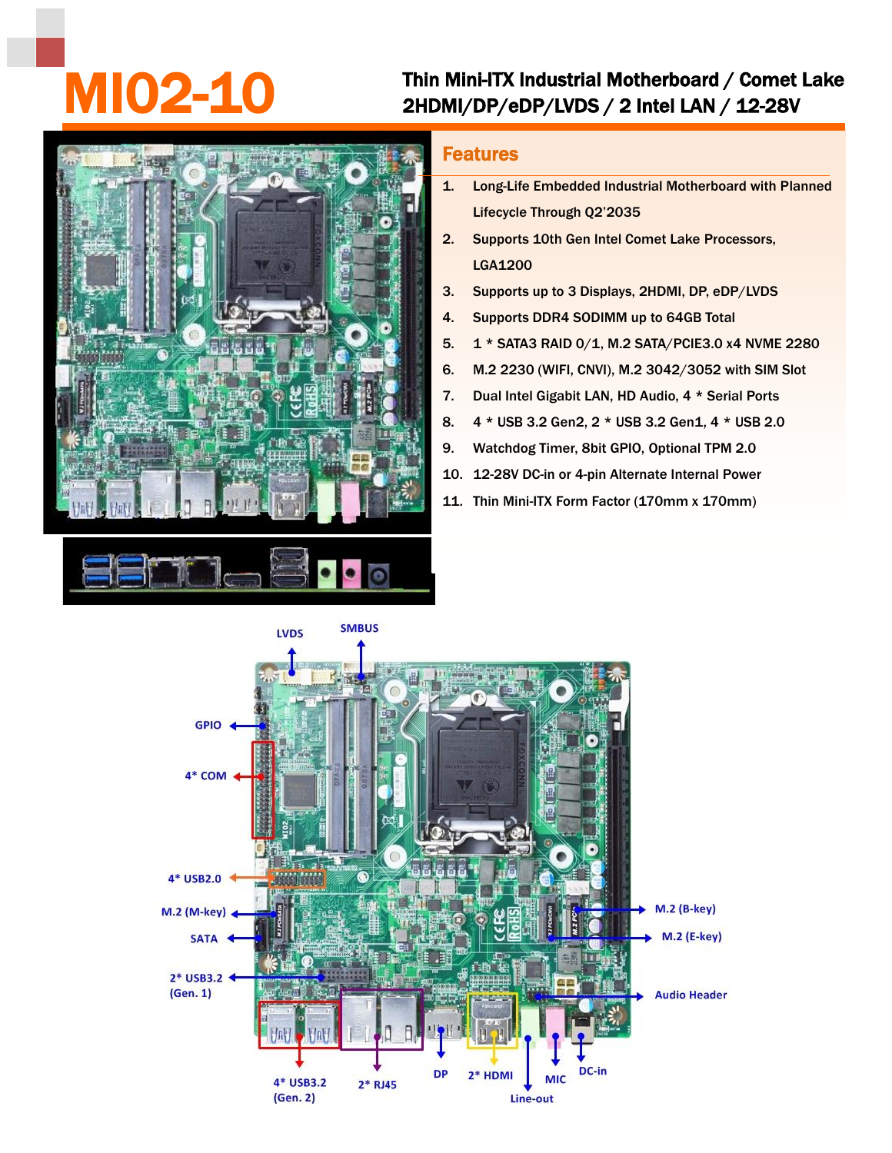## Thin Mini-ITX Industrial Motherboard / Comet Lake<br>2HDMI/DP/eDP/LVDS / 2 Intel LAN / 12-28V



## Features

- 1. Long-Life Embedded Industrial Motherboard with Planned Lifecycle Through Q2'2035
- 2. Supports 10th Gen Intel Comet Lake Processors, LGA1200
- 3. Supports up to 3 Displays, 2HDMI, DP, eDP/LVDS
- 4. Supports DDR4 SODIMM up to 64GB Total
- 5. 1 \* SATA3 RAID 0/1, M.2 SATA/PCIE3.0 x4 NVME 2280
- 6. M.2 2230 (WIFI, CNVI), M.2 3042/3052 with SIM Slot
- 7. Dual Intel Gigabit LAN, HD Audio, 4 \* Serial Ports
- 8. 4 \* USB 3.2 Gen2, 2 \* USB 3.2 Gen1, 4 \* USB 2.0
- 9. Watchdog Timer, 8bit GPIO, Optional TPM 2.0
- 10. 12-28V DC-in or 4-pin Alternate Internal Power
- 11. Thin Mini-ITX Form Factor (170mm x 170mm)